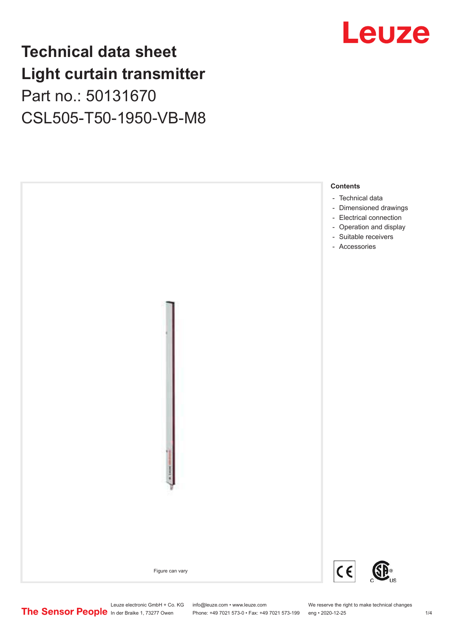# **Technical data sheet Light curtain transmitter** Part no.: 50131670 CSL505-T50-1950-VB-M8





Phone: +49 7021 573-0 • Fax: +49 7021 573-199 eng • 2020-12-25 1 2020-12-25

Leuze electronic GmbH + Co. KG info@leuze.com • www.leuze.com We reserve the right to make technical changes<br>
The Sensor People in der Braike 1, 73277 Owen Phone: +49 7021 573-0 • Fax: +49 7021 573-199 eng • 2020-12-25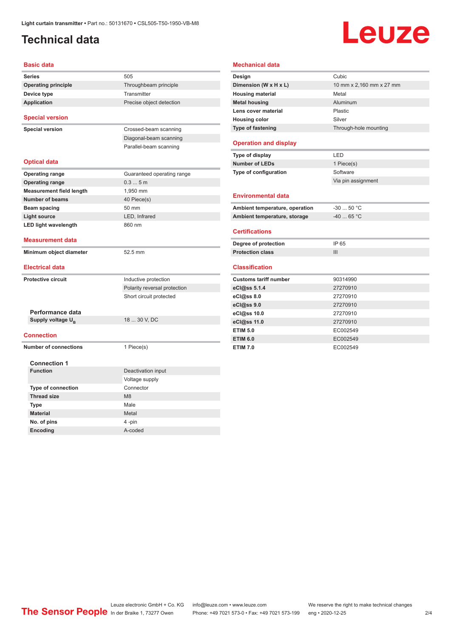# <span id="page-1-0"></span>**Technical data**

# Leuze

| Basic data                             |                              |
|----------------------------------------|------------------------------|
| <b>Series</b>                          | 505                          |
| <b>Operating principle</b>             | Throughbeam principle        |
| Device type                            | Transmitter                  |
| <b>Application</b>                     | Precise object detection     |
|                                        |                              |
| <b>Special version</b>                 |                              |
| <b>Special version</b>                 | Crossed-beam scanning        |
|                                        | Diagonal-beam scanning       |
|                                        | Parallel-beam scanning       |
| <b>Optical data</b>                    |                              |
| <b>Operating range</b>                 | Guaranteed operating range   |
| <b>Operating range</b>                 | 0.35m                        |
| <b>Measurement field length</b>        | 1,950 mm                     |
| <b>Number of beams</b>                 | 40 Piece(s)                  |
| <b>Beam spacing</b>                    | 50 mm                        |
| <b>Light source</b>                    | LED, Infrared                |
| <b>LED light wavelength</b>            | 860 nm                       |
| <b>Measurement data</b>                |                              |
| Minimum object diameter                | 52.5 mm                      |
| <b>Electrical data</b>                 |                              |
| <b>Protective circuit</b>              | Inductive protection         |
|                                        | Polarity reversal protection |
|                                        | Short circuit protected      |
|                                        |                              |
| Performance data                       |                              |
| Supply voltage U <sub>B</sub>          | 18  30 V, DC                 |
| <b>Connection</b>                      |                              |
| <b>Number of connections</b>           | 1 Piece(s)                   |
|                                        |                              |
| <b>Connection 1</b><br><b>Function</b> |                              |
|                                        | Deactivation input           |
|                                        | Voltage supply<br>Connector  |
| <b>Type of connection</b>              | M8                           |
| <b>Thread size</b>                     |                              |
| Type                                   | Male                         |
| <b>Material</b>                        | Metal                        |
| No. of pins                            | 4 -pin                       |
| Encoding                               | A-coded                      |

| Design                                                                                                                                             | Cubic                    |
|----------------------------------------------------------------------------------------------------------------------------------------------------|--------------------------|
| Dimension (W x H x L)                                                                                                                              | 10 mm x 2,160 mm x 27 mm |
| <b>Housing material</b>                                                                                                                            | Metal                    |
| <b>Metal housing</b>                                                                                                                               | Aluminum                 |
| Lens cover material                                                                                                                                | Plastic                  |
| <b>Housing color</b>                                                                                                                               | Silver                   |
| Type of fastening                                                                                                                                  | Through-hole mounting    |
| <b>Operation and display</b>                                                                                                                       |                          |
| Type of display                                                                                                                                    | LED                      |
| <b>Number of LEDs</b>                                                                                                                              | 1 Piece(s)               |
| Type of configuration                                                                                                                              | Software                 |
|                                                                                                                                                    | Via pin assignment       |
| <b>Environmental data</b>                                                                                                                          |                          |
| Ambient temperature, operation                                                                                                                     | $-3050 °C$               |
| Ambient temperature, storage                                                                                                                       | $-40$ 65 °C              |
| <b>Certifications</b>                                                                                                                              |                          |
| Degree of protection                                                                                                                               | IP 65                    |
| <b>Protection class</b>                                                                                                                            | III                      |
|                                                                                                                                                    |                          |
|                                                                                                                                                    |                          |
|                                                                                                                                                    | 90314990                 |
|                                                                                                                                                    | 27270910                 |
|                                                                                                                                                    | 27270910                 |
|                                                                                                                                                    | 27270910                 |
|                                                                                                                                                    | 27270910                 |
|                                                                                                                                                    | 27270910                 |
| <b>Classification</b><br><b>Customs tariff number</b><br>eCl@ss 5.1.4<br>eCl@ss 8.0<br>eCl@ss 9.0<br>eCl@ss 10.0<br>eCl@ss 11.0<br><b>ETIM 5.0</b> | EC002549                 |
| <b>ETIM 6.0</b>                                                                                                                                    | EC002549                 |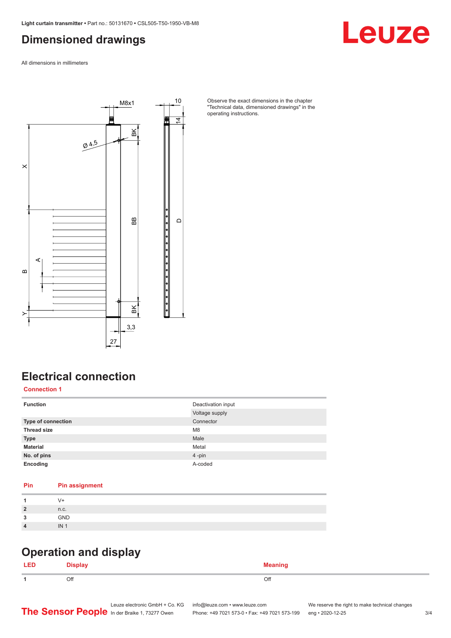### <span id="page-2-0"></span>**Dimensioned drawings**

Leuze

All dimensions in millimeters



Observe the exact dimensions in the chapter "Technical data, dimensioned drawings" in the operating instructions.

# **Electrical connection**

**Connection 1**

| <b>Function</b>           | Deactivation input<br>Voltage supply |
|---------------------------|--------------------------------------|
| <b>Type of connection</b> | Connector                            |
| <b>Thread size</b>        | M <sub>8</sub>                       |
| <b>Type</b>               | Male                                 |
| <b>Material</b>           | Metal                                |
| No. of pins               | 4-pin                                |
| Encoding                  | A-coded                              |

#### **Pin Pin assignment**

| V+                                |     |
|-----------------------------------|-----|
| $\overline{2}$<br>n.c.            |     |
| 2<br>- 1                          | GND |
| IN <sub>1</sub><br>$\overline{4}$ |     |

#### **Operation and display**

| <b>LED</b> | --<br><b>Display</b> | <b>Meaning</b> |
|------------|----------------------|----------------|
|            | Off                  | Off            |